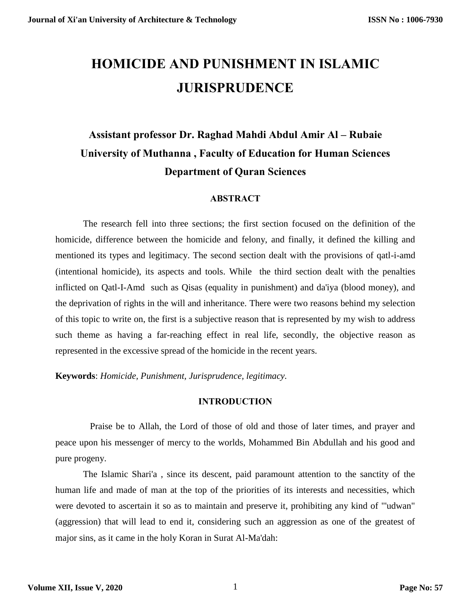# **HOMICIDE AND PUNISHMENT IN ISLAMIC JURISPRUDENCE**

## **Assistant professor Dr. Raghad Mahdi Abdul Amir Al – Rubaie University of Muthanna , Faculty of Education for Human Sciences Department of Quran Sciences**

#### **ABSTRACT**

The research fell into three sections; the first section focused on the definition of the homicide, difference between the homicide and felony, and finally, it defined the killing and mentioned its types and legitimacy. The second section dealt with the provisions of qatl-i-amd (intentional homicide), its aspects and tools. While the third section dealt with the penalties inflicted on Qatl-I-Amd such as Qisas (equality in punishment) and da'iya (blood money), and the deprivation of rights in the will and inheritance. There were two reasons behind my selection of this topic to write on, the first is a subjective reason that is represented by my wish to address such theme as having a far-reaching effect in real life, secondly, the objective reason as represented in the excessive spread of the homicide in the recent years.

**Keywords**: *Homicide, Punishment, Jurisprudence, legitimacy.*

#### **INTRODUCTION**

 Praise be to Allah, the Lord of those of old and those of later times, and prayer and peace upon his messenger of mercy to the worlds, Mohammed Bin Abdullah and his good and pure progeny.

The Islamic Shari'a , since its descent, paid paramount attention to the sanctity of the human life and made of man at the top of the priorities of its interests and necessities, which were devoted to ascertain it so as to maintain and preserve it, prohibiting any kind of "'udwan" (aggression) that will lead to end it, considering such an aggression as one of the greatest of major sins, as it came in the holy Koran in Surat Al-Ma'dah: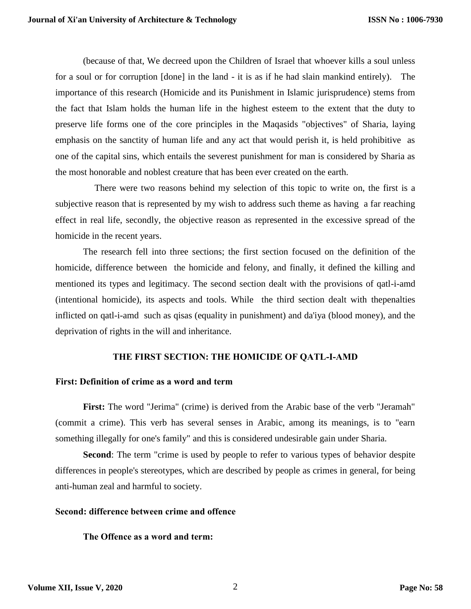(because of that, We decreed upon the Children of Israel that whoever kills a soul unless for a soul or for corruption [done] in the land - it is as if he had slain mankind entirely). The importance of this research (Homicide and its Punishment in Islamic jurisprudence) stems from the fact that Islam holds the human life in the highest esteem to the extent that the duty to preserve life forms one of the core principles in the Maqasids "objectives" of Sharia, laying emphasis on the sanctity of human life and any act that would perish it, is held prohibitive as one of the capital sins, which entails the severest punishment for man is considered by Sharia as the most honorable and noblest creature that has been ever created on the earth.

 There were two reasons behind my selection of this topic to write on, the first is a subjective reason that is represented by my wish to address such theme as having a far reaching effect in real life, secondly, the objective reason as represented in the excessive spread of the homicide in the recent years.

The research fell into three sections; the first section focused on the definition of the homicide, difference between the homicide and felony, and finally, it defined the killing and mentioned its types and legitimacy. The second section dealt with the provisions of qatl-i-amd (intentional homicide), its aspects and tools. While the third section dealt with thepenalties inflicted on qatl-i-amd such as qisas (equality in punishment) and da'iya (blood money), and the deprivation of rights in the will and inheritance.

#### **THE FIRST SECTION: THE HOMICIDE OF QATL-I-AMD**

#### **First: Definition of crime as a word and term**

**First:** The word "Jerima" (crime) is derived from the Arabic base of the verb "Jeramah" (commit a crime). This verb has several senses in Arabic, among its meanings, is to "earn something illegally for one's family" and this is considered undesirable gain under Sharia.

**Second**: The term "crime is used by people to refer to various types of behavior despite differences in people's stereotypes, which are described by people as crimes in general, for being anti-human zeal and harmful to society.

#### **Second: difference between crime and offence**

#### **The Offence as a word and term:**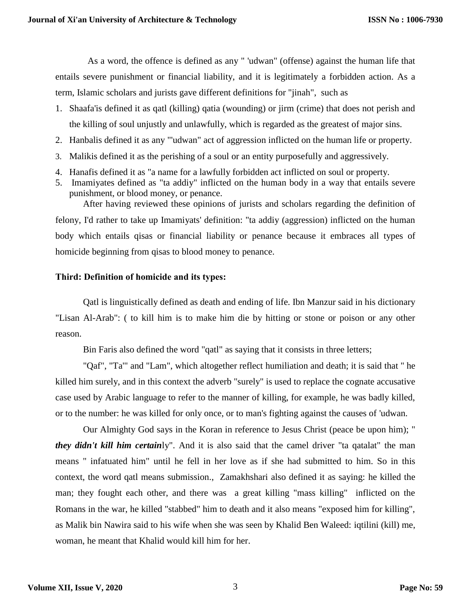As a word, the offence is defined as any " 'udwan" (offense) against the human life that entails severe punishment or financial liability, and it is legitimately a forbidden action. As a term, Islamic scholars and jurists gave different definitions for "jinah", such as

- 1. Shaafa'is defined it as qatl (killing) qatia (wounding) or jirm (crime) that does not perish and the killing of soul unjustly and unlawfully, which is regarded as the greatest of major sins.
- 2. Hanbalis defined it as any "'udwan" act of aggression inflicted on the human life or property.
- 3. Malikis defined it as the perishing of a soul or an entity purposefully and aggressively.
- 4. Hanafis defined it as "a name for a lawfully forbidden act inflicted on soul or property.
- 5. Imamiyates defined as "ta addiy" inflicted on the human body in a way that entails severe punishment, or blood money, or penance.

After having reviewed these opinions of jurists and scholars regarding the definition of felony, I'd rather to take up Imamiyats' definition: "ta addiy (aggression) inflicted on the human body which entails qisas or financial liability or penance because it embraces all types of homicide beginning from qisas to blood money to penance.

#### **Third: Definition of homicide and its types:**

Qatl is linguistically defined as death and ending of life. Ibn Manzur said in his dictionary "Lisan Al-Arab": ( to kill him is to make him die by hitting or stone or poison or any other reason.

Bin Faris also defined the word "qatl" as saying that it consists in three letters;

"Qaf", "Ta'" and "Lam", which altogether reflect humiliation and death; it is said that " he killed him surely, and in this context the adverb "surely" is used to replace the cognate accusative case used by Arabic language to refer to the manner of killing, for example, he was badly killed, or to the number: he was killed for only once, or to man's fighting against the causes of 'udwan.

Our Almighty God says in the Koran in reference to Jesus Christ (peace be upon him); " *they didn't kill him certain*ly". And it is also said that the camel driver "ta qatalat" the man means " infatuated him" until he fell in her love as if she had submitted to him. So in this context, the word qatl means submission., Zamakhshari also defined it as saying: he killed the man; they fought each other, and there was a great killing "mass killing" inflicted on the Romans in the war, he killed "stabbed" him to death and it also means "exposed him for killing", as Malik bin Nawira said to his wife when she was seen by Khalid Ben Waleed: iqtilini (kill) me, woman, he meant that Khalid would kill him for her.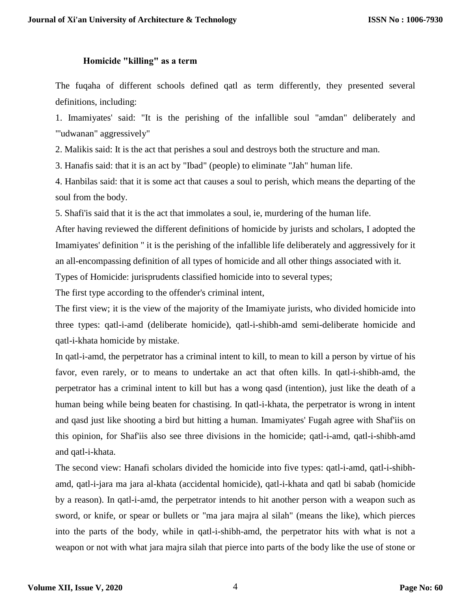#### **Homicide "killing" as a term**

The fuqaha of different schools defined qatl as term differently, they presented several definitions, including:

1. Imamiyates' said: "It is the perishing of the infallible soul "amdan" deliberately and "'udwanan" aggressively"

2. Malikis said: It is the act that perishes a soul and destroys both the structure and man.

3. Hanafis said: that it is an act by "Ibad" (people) to eliminate "Jah" human life.

4. Hanbilas said: that it is some act that causes a soul to perish, which means the departing of the soul from the body.

5. Shafi'is said that it is the act that immolates a soul, ie, murdering of the human life.

After having reviewed the different definitions of homicide by jurists and scholars, I adopted the Imamiyates' definition " it is the perishing of the infallible life deliberately and aggressively for it an all-encompassing definition of all types of homicide and all other things associated with it.

Types of Homicide: jurisprudents classified homicide into to several types;

The first type according to the offender's criminal intent,

The first view; it is the view of the majority of the Imamiyate jurists, who divided homicide into three types: qatl-i-amd (deliberate homicide), qatl-i-shibh-amd semi-deliberate homicide and qatl-i-khata homicide by mistake.

In qatl-i-amd, the perpetrator has a criminal intent to kill, to mean to kill a person by virtue of his favor, even rarely, or to means to undertake an act that often kills. In qatl-i-shibh-amd, the perpetrator has a criminal intent to kill but has a wong qasd (intention), just like the death of a human being while being beaten for chastising. In qatl-i-khata, the perpetrator is wrong in intent and qasd just like shooting a bird but hitting a human. Imamiyates' Fugah agree with Shaf'iis on this opinion, for Shaf'iis also see three divisions in the homicide; qatl-i-amd, qatl-i-shibh-amd and qatl-i-khata.

The second view: Hanafi scholars divided the homicide into five types: qatl-i-amd, qatl-i-shibhamd, qatl-i-jara ma jara al-khata (accidental homicide), qatl-i-khata and qatl bi sabab (homicide by a reason). In qatl-i-amd, the perpetrator intends to hit another person with a weapon such as sword, or knife, or spear or bullets or "ma jara majra al silah" (means the like), which pierces into the parts of the body, while in qatl-i-shibh-amd, the perpetrator hits with what is not a weapon or not with what jara majra silah that pierce into parts of the body like the use of stone or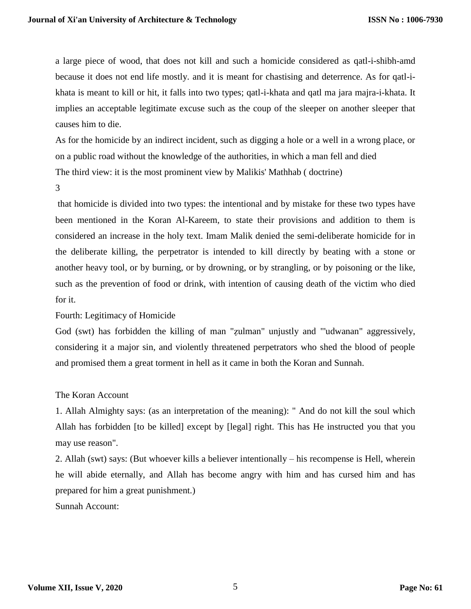a large piece of wood, that does not kill and such a homicide considered as qatl-i-shibh-amd because it does not end life mostly. and it is meant for chastising and deterrence. As for qatl-ikhata is meant to kill or hit, it falls into two types; qatl-i-khata and qatl ma jara majra-i-khata. It implies an acceptable legitimate excuse such as the coup of the sleeper on another sleeper that causes him to die.

As for the homicide by an indirect incident, such as digging a hole or a well in a wrong place, or on a public road without the knowledge of the authorities, in which a man fell and died The third view: it is the most prominent view by Malikis' Mathhab ( doctrine)

3

that homicide is divided into two types: the intentional and by mistake for these two types have been mentioned in the Koran Al-Kareem, to state their provisions and addition to them is considered an increase in the holy text. Imam Malik denied the semi-deliberate homicide for in the deliberate killing, the perpetrator is intended to kill directly by beating with a stone or another heavy tool, or by burning, or by drowning, or by strangling, or by poisoning or the like, such as the prevention of food or drink, with intention of causing death of the victim who died for it.

Fourth: Legitimacy of Homicide

God (swt) has forbidden the killing of man "ẓulman" unjustly and "'udwanan" aggressively, considering it a major sin, and violently threatened perpetrators who shed the blood of people and promised them a great torment in hell as it came in both the Koran and Sunnah.

The Koran Account

1. Allah Almighty says: (as an interpretation of the meaning): " And do not kill the soul which Allah has forbidden [to be killed] except by [legal] right. This has He instructed you that you may use reason".

2. Allah (swt) says: (But whoever kills a believer intentionally – his recompense is Hell, wherein he will abide eternally, and Allah has become angry with him and has cursed him and has prepared for him a great punishment.)

Sunnah Account: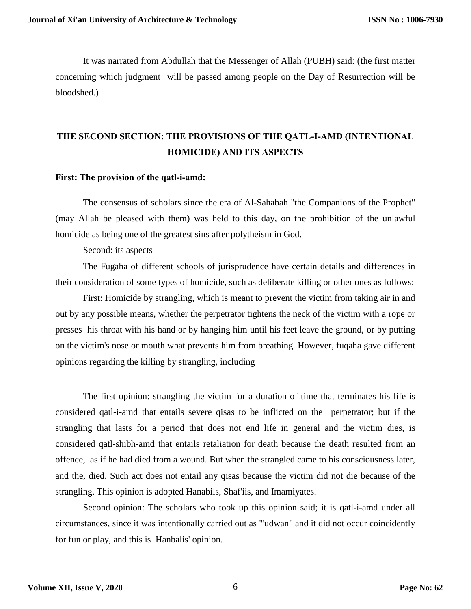It was narrated from Abdullah that the Messenger of Allah (PUBH) said: (the first matter concerning which judgment will be passed among people on the Day of Resurrection will be bloodshed.)

### **THE SECOND SECTION: THE PROVISIONS OF THE QATL-I-AMD (INTENTIONAL HOMICIDE) AND ITS ASPECTS**

#### **First: The provision of the qatl-i-amd:**

The consensus of scholars since the era of Al-Sahabah "the Companions of the Prophet" (may Allah be pleased with them) was held to this day, on the prohibition of the unlawful homicide as being one of the greatest sins after polytheism in God.

Second: its aspects

The Fugaha of different schools of jurisprudence have certain details and differences in their consideration of some types of homicide, such as deliberate killing or other ones as follows:

First: Homicide by strangling, which is meant to prevent the victim from taking air in and out by any possible means, whether the perpetrator tightens the neck of the victim with a rope or presses his throat with his hand or by hanging him until his feet leave the ground, or by putting on the victim's nose or mouth what prevents him from breathing. However, fuqaha gave different opinions regarding the killing by strangling, including

The first opinion: strangling the victim for a duration of time that terminates his life is considered qatl-i-amd that entails severe qisas to be inflicted on the perpetrator; but if the strangling that lasts for a period that does not end life in general and the victim dies, is considered qatl-shibh-amd that entails retaliation for death because the death resulted from an offence, as if he had died from a wound. But when the strangled came to his consciousness later, and the, died. Such act does not entail any qisas because the victim did not die because of the strangling. This opinion is adopted Hanabils, Shaf'iis, and Imamiyates.

Second opinion: The scholars who took up this opinion said; it is qatl-i-amd under all circumstances, since it was intentionally carried out as "'udwan" and it did not occur coincidently for fun or play, and this is Hanbalis' opinion.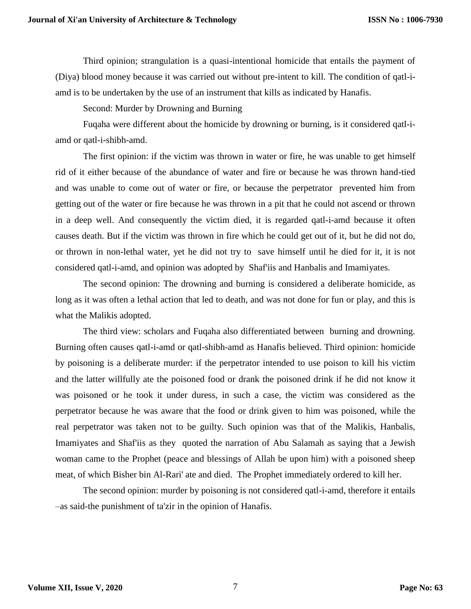Third opinion; strangulation is a quasi-intentional homicide that entails the payment of (Diya) blood money because it was carried out without pre-intent to kill. The condition of qatl-iamd is to be undertaken by the use of an instrument that kills as indicated by Hanafis.

Second: Murder by Drowning and Burning

Fuqaha were different about the homicide by drowning or burning, is it considered qatl-iamd or qatl-i-shibh-amd.

The first opinion: if the victim was thrown in water or fire, he was unable to get himself rid of it either because of the abundance of water and fire or because he was thrown hand-tied and was unable to come out of water or fire, or because the perpetrator prevented him from getting out of the water or fire because he was thrown in a pit that he could not ascend or thrown in a deep well. And consequently the victim died, it is regarded qatl-i-amd because it often causes death. But if the victim was thrown in fire which he could get out of it, but he did not do, or thrown in non-lethal water, yet he did not try to save himself until he died for it, it is not considered qatl-i-amd, and opinion was adopted by Shaf'iis and Hanbalis and Imamiyates.

The second opinion: The drowning and burning is considered a deliberate homicide, as long as it was often a lethal action that led to death, and was not done for fun or play, and this is what the Malikis adopted.

The third view: scholars and Fuqaha also differentiated between burning and drowning. Burning often causes qatl-i-amd or qatl-shibh-amd as Hanafis believed. Third opinion: homicide by poisoning is a deliberate murder: if the perpetrator intended to use poison to kill his victim and the latter willfully ate the poisoned food or drank the poisoned drink if he did not know it was poisoned or he took it under duress, in such a case, the victim was considered as the perpetrator because he was aware that the food or drink given to him was poisoned, while the real perpetrator was taken not to be guilty. Such opinion was that of the Malikis, Hanbalis, Imamiyates and Shaf'iis as they quoted the narration of Abu Salamah as saying that a Jewish woman came to the Prophet (peace and blessings of Allah be upon him) with a poisoned sheep meat, of which Bisher bin Al-Rari' ate and died. The Prophet immediately ordered to kill her.

The second opinion: murder by poisoning is not considered qatl-i-amd, therefore it entails –as said-the punishment of ta'zir in the opinion of Hanafis.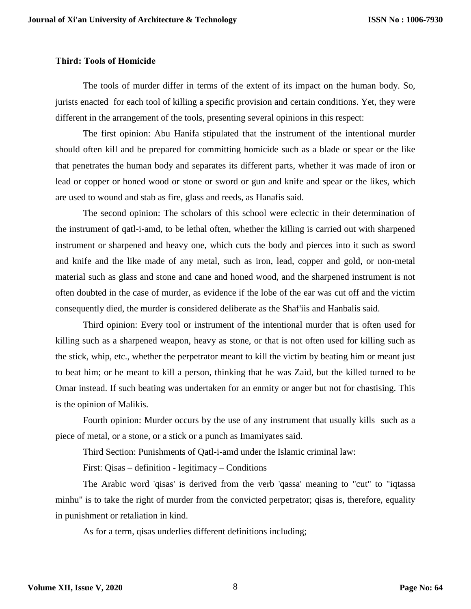#### **Third: Tools of Homicide**

The tools of murder differ in terms of the extent of its impact on the human body. So, jurists enacted for each tool of killing a specific provision and certain conditions. Yet, they were different in the arrangement of the tools, presenting several opinions in this respect:

The first opinion: Abu Hanifa stipulated that the instrument of the intentional murder should often kill and be prepared for committing homicide such as a blade or spear or the like that penetrates the human body and separates its different parts, whether it was made of iron or lead or copper or honed wood or stone or sword or gun and knife and spear or the likes, which are used to wound and stab as fire, glass and reeds, as Hanafis said.

The second opinion: The scholars of this school were eclectic in their determination of the instrument of qatl-i-amd, to be lethal often, whether the killing is carried out with sharpened instrument or sharpened and heavy one, which cuts the body and pierces into it such as sword and knife and the like made of any metal, such as iron, lead, copper and gold, or non-metal material such as glass and stone and cane and honed wood, and the sharpened instrument is not often doubted in the case of murder, as evidence if the lobe of the ear was cut off and the victim consequently died, the murder is considered deliberate as the Shaf'iis and Hanbalis said.

Third opinion: Every tool or instrument of the intentional murder that is often used for killing such as a sharpened weapon, heavy as stone, or that is not often used for killing such as the stick, whip, etc., whether the perpetrator meant to kill the victim by beating him or meant just to beat him; or he meant to kill a person, thinking that he was Zaid, but the killed turned to be Omar instead. If such beating was undertaken for an enmity or anger but not for chastising. This is the opinion of Malikis.

Fourth opinion: Murder occurs by the use of any instrument that usually kills such as a piece of metal, or a stone, or a stick or a punch as Imamiyates said.

Third Section: Punishments of Qatl-i-amd under the Islamic criminal law:

First: Qisas – definition - legitimacy – Conditions

The Arabic word 'qisas' is derived from the verb 'qassa' meaning to "cut" to "iqtassa minhu" is to take the right of murder from the convicted perpetrator; qisas is, therefore, equality in punishment or retaliation in kind.

As for a term, qisas underlies different definitions including;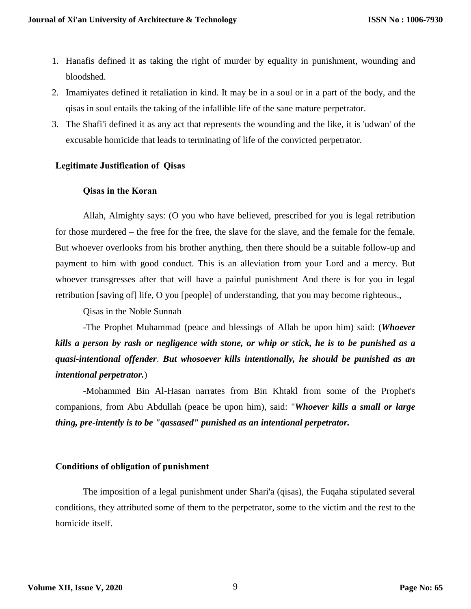- 1. Hanafis defined it as taking the right of murder by equality in punishment, wounding and bloodshed.
- 2. Imamiyates defined it retaliation in kind. It may be in a soul or in a part of the body, and the qisas in soul entails the taking of the infallible life of the sane mature perpetrator.
- 3. The Shafi'i defined it as any act that represents the wounding and the like, it is 'udwan' of the excusable homicide that leads to terminating of life of the convicted perpetrator.

#### **Legitimate Justification of Qisas**

#### **Qisas in the Koran**

Allah, Almighty says: (O you who have believed, prescribed for you is legal retribution for those murdered – the free for the free, the slave for the slave, and the female for the female. But whoever overlooks from his brother anything, then there should be a suitable follow-up and payment to him with good conduct. This is an alleviation from your Lord and a mercy. But whoever transgresses after that will have a painful punishment And there is for you in legal retribution [saving of] life, O you [people] of understanding, that you may become righteous.,

Qisas in the Noble Sunnah

-The Prophet Muhammad (peace and blessings of Allah be upon him) said: (*Whoever kills a person by rash or negligence with stone, or whip or stick, he is to be punished as a quasi-intentional offender*. *But whosoever kills intentionally, he should be punished as an intentional perpetrator.*)

-Mohammed Bin Al-Hasan narrates from Bin Khtakl from some of the Prophet's companions, from Abu Abdullah (peace be upon him), said: "*Whoever kills a small or large thing, pre-intently is to be "qassased" punished as an intentional perpetrator.* 

#### **Conditions of obligation of punishment**

The imposition of a legal punishment under Shari'a (qisas), the Fuqaha stipulated several conditions, they attributed some of them to the perpetrator, some to the victim and the rest to the homicide itself.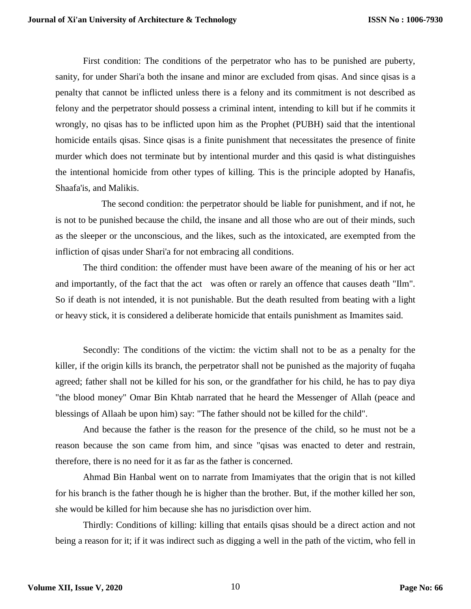First condition: The conditions of the perpetrator who has to be punished are puberty, sanity, for under Shari'a both the insane and minor are excluded from qisas. And since qisas is a penalty that cannot be inflicted unless there is a felony and its commitment is not described as felony and the perpetrator should possess a criminal intent, intending to kill but if he commits it wrongly, no qisas has to be inflicted upon him as the Prophet (PUBH) said that the intentional homicide entails qisas. Since qisas is a finite punishment that necessitates the presence of finite murder which does not terminate but by intentional murder and this qasid is what distinguishes the intentional homicide from other types of killing. This is the principle adopted by Hanafis, Shaafa'is, and Malikis.

 The second condition: the perpetrator should be liable for punishment, and if not, he is not to be punished because the child, the insane and all those who are out of their minds, such as the sleeper or the unconscious, and the likes, such as the intoxicated, are exempted from the infliction of qisas under Shari'a for not embracing all conditions.

The third condition: the offender must have been aware of the meaning of his or her act and importantly, of the fact that the act was often or rarely an offence that causes death "Ilm". So if death is not intended, it is not punishable. But the death resulted from beating with a light or heavy stick, it is considered a deliberate homicide that entails punishment as Imamites said.

Secondly: The conditions of the victim: the victim shall not to be as a penalty for the killer, if the origin kills its branch, the perpetrator shall not be punished as the majority of fuqaha agreed; father shall not be killed for his son, or the grandfather for his child, he has to pay diya "the blood money" Omar Bin Khtab narrated that he heard the Messenger of Allah (peace and blessings of Allaah be upon him) say: "The father should not be killed for the child".

And because the father is the reason for the presence of the child, so he must not be a reason because the son came from him, and since "qisas was enacted to deter and restrain, therefore, there is no need for it as far as the father is concerned.

Ahmad Bin Hanbal went on to narrate from Imamiyates that the origin that is not killed for his branch is the father though he is higher than the brother. But, if the mother killed her son, she would be killed for him because she has no jurisdiction over him.

Thirdly: Conditions of killing: killing that entails qisas should be a direct action and not being a reason for it; if it was indirect such as digging a well in the path of the victim, who fell in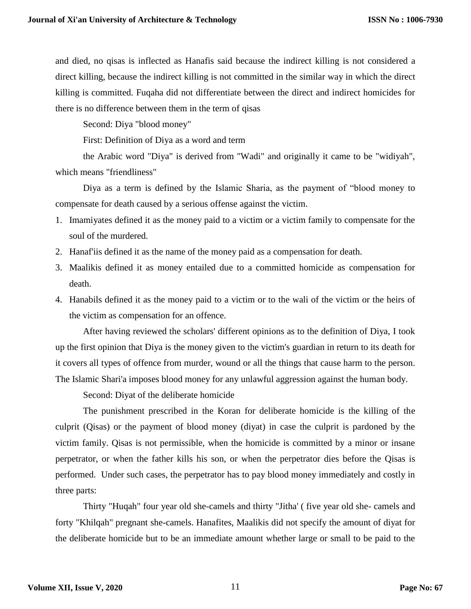and died, no qisas is inflected as Hanafis said because the indirect killing is not considered a direct killing, because the indirect killing is not committed in the similar way in which the direct killing is committed. Fuqaha did not differentiate between the direct and indirect homicides for there is no difference between them in the term of qisas

Second: Diya "blood money"

First: Definition of Diya as a word and term

the Arabic word "Diya" is derived from "Wadi" and originally it came to be "widiyah", which means "friendliness"

Diya as a term is defined by the Islamic Sharia, as the payment of "blood money to compensate for death caused by a serious offense against the victim.

- 1. Imamiyates defined it as the money paid to a victim or a victim family to compensate for the soul of the murdered.
- 2. Hanaf'iis defined it as the name of the money paid as a compensation for death.
- 3. Maalikis defined it as money entailed due to a committed homicide as compensation for death.
- 4. Hanabils defined it as the money paid to a victim or to the wali of the victim or the heirs of the victim as compensation for an offence.

After having reviewed the scholars' different opinions as to the definition of Diya, I took up the first opinion that Diya is the money given to the victim's guardian in return to its death for it covers all types of offence from murder, wound or all the things that cause harm to the person. The Islamic Shari'a imposes blood money for any unlawful aggression against the human body.

Second: Diyat of the deliberate homicide

The punishment prescribed in the Koran for deliberate homicide is the killing of the culprit (Qisas) or the payment of blood money (diyat) in case the culprit is pardoned by the victim family. Qisas is not permissible, when the homicide is committed by a minor or insane perpetrator, or when the father kills his son, or when the perpetrator dies before the Qisas is performed. Under such cases, the perpetrator has to pay blood money immediately and costly in three parts:

Thirty "Huqah" four year old she-camels and thirty "Jitha' ( five year old she- camels and forty "Khilqah" pregnant she-camels. Hanafites, Maalikis did not specify the amount of diyat for the deliberate homicide but to be an immediate amount whether large or small to be paid to the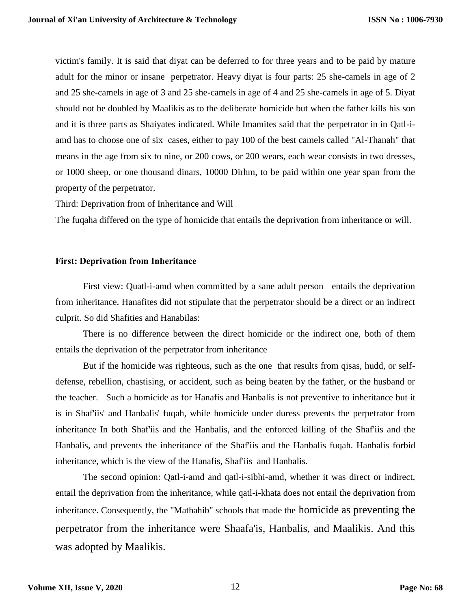victim's family. It is said that diyat can be deferred to for three years and to be paid by mature adult for the minor or insane perpetrator. Heavy diyat is four parts: 25 she-camels in age of 2 and 25 she-camels in age of 3 and 25 she-camels in age of 4 and 25 she-camels in age of 5. Diyat should not be doubled by Maalikis as to the deliberate homicide but when the father kills his son and it is three parts as Shaiyates indicated. While Imamites said that the perpetrator in in Qatl-iamd has to choose one of six cases, either to pay 100 of the best camels called "Al-Thanah" that means in the age from six to nine, or 200 cows, or 200 wears, each wear consists in two dresses, or 1000 sheep, or one thousand dinars, 10000 Dirhm, to be paid within one year span from the property of the perpetrator.

Third: Deprivation from of Inheritance and Will

The fuqaha differed on the type of homicide that entails the deprivation from inheritance or will.

#### **First: Deprivation from Inheritance**

First view: Quatl-i-amd when committed by a sane adult person entails the deprivation from inheritance. Hanafites did not stipulate that the perpetrator should be a direct or an indirect culprit. So did Shafities and Hanabilas:

There is no difference between the direct homicide or the indirect one, both of them entails the deprivation of the perpetrator from inheritance

But if the homicide was righteous, such as the one that results from qisas, hudd, or selfdefense, rebellion, chastising, or accident, such as being beaten by the father, or the husband or the teacher. Such a homicide as for Hanafis and Hanbalis is not preventive to inheritance but it is in Shaf'iis' and Hanbalis' fuqah, while homicide under duress prevents the perpetrator from inheritance In both Shaf'iis and the Hanbalis, and the enforced killing of the Shaf'iis and the Hanbalis, and prevents the inheritance of the Shaf'iis and the Hanbalis fuqah. Hanbalis forbid inheritance, which is the view of the Hanafis, Shaf'iis and Hanbalis.

The second opinion: Qatl-i-amd and qatl-i-sibhi-amd, whether it was direct or indirect, entail the deprivation from the inheritance, while qatl-i-khata does not entail the deprivation from inheritance. Consequently, the "Mathahib" schools that made the homicide as preventing the perpetrator from the inheritance were Shaafa'is, Hanbalis, and Maalikis. And this was adopted by Maalikis.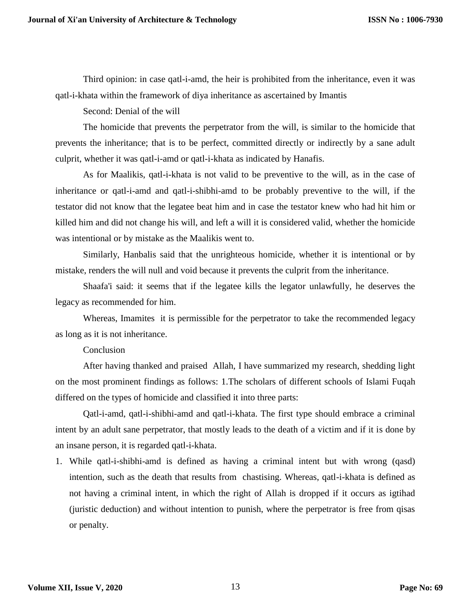Third opinion: in case qatl-i-amd, the heir is prohibited from the inheritance, even it was qatl-i-khata within the framework of diya inheritance as ascertained by Imantis

Second: Denial of the will

The homicide that prevents the perpetrator from the will, is similar to the homicide that prevents the inheritance; that is to be perfect, committed directly or indirectly by a sane adult culprit, whether it was qatl-i-amd or qatl-i-khata as indicated by Hanafis.

As for Maalikis, qatl-i-khata is not valid to be preventive to the will, as in the case of inheritance or qatl-i-amd and qatl-i-shibhi-amd to be probably preventive to the will, if the testator did not know that the legatee beat him and in case the testator knew who had hit him or killed him and did not change his will, and left a will it is considered valid, whether the homicide was intentional or by mistake as the Maalikis went to.

Similarly, Hanbalis said that the unrighteous homicide, whether it is intentional or by mistake, renders the will null and void because it prevents the culprit from the inheritance.

Shaafa'i said: it seems that if the legatee kills the legator unlawfully, he deserves the legacy as recommended for him.

Whereas, Imamites it is permissible for the perpetrator to take the recommended legacy as long as it is not inheritance.

Conclusion

After having thanked and praised Allah, I have summarized my research, shedding light on the most prominent findings as follows: 1.The scholars of different schools of Islami Fuqah differed on the types of homicide and classified it into three parts:

Qatl-i-amd, qatl-i-shibhi-amd and qatl-i-khata. The first type should embrace a criminal intent by an adult sane perpetrator, that mostly leads to the death of a victim and if it is done by an insane person, it is regarded qatl-i-khata.

1. While qatl-i-shibhi-amd is defined as having a criminal intent but with wrong (qasd) intention, such as the death that results from chastising. Whereas, qatl-i-khata is defined as not having a criminal intent, in which the right of Allah is dropped if it occurs as igtihad (juristic deduction) and without intention to punish, where the perpetrator is free from qisas or penalty.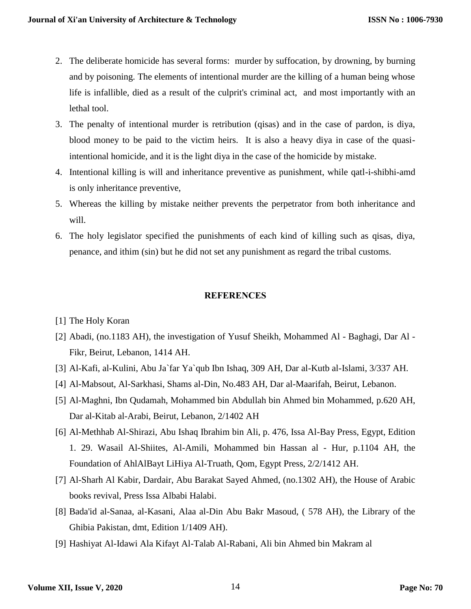- 2. The deliberate homicide has several forms: murder by suffocation, by drowning, by burning and by poisoning. The elements of intentional murder are the killing of a human being whose life is infallible, died as a result of the culprit's criminal act, and most importantly with an lethal tool.
- 3. The penalty of intentional murder is retribution (qisas) and in the case of pardon, is diya, blood money to be paid to the victim heirs. It is also a heavy diya in case of the quasiintentional homicide, and it is the light diya in the case of the homicide by mistake.
- 4. Intentional killing is will and inheritance preventive as punishment, while qatl-i-shibhi-amd is only inheritance preventive,
- 5. Whereas the killing by mistake neither prevents the perpetrator from both inheritance and will.
- 6. The holy legislator specified the punishments of each kind of killing such as qisas, diya, penance, and ithim (sin) but he did not set any punishment as regard the tribal customs.

#### **REFERENCES**

- [1] The Holy Koran
- [2] Abadi, (no.1183 AH), the investigation of Yusuf Sheikh, Mohammed Al Baghagi, Dar Al Fikr, Beirut, Lebanon, 1414 AH.
- [3] Al-Kafi, al-Kulini, Abu Ja`far Ya`qub Ibn Ishaq, 309 AH, Dar al-Kutb al-Islami, 3/337 AH.
- [4] Al-Mabsout, Al-Sarkhasi, Shams al-Din, No.483 AH, Dar al-Maarifah, Beirut, Lebanon.
- [5] Al-Maghni, Ibn Qudamah, Mohammed bin Abdullah bin Ahmed bin Mohammed, p.620 AH, Dar al-Kitab al-Arabi, Beirut, Lebanon, 2/1402 AH
- [6] Al-Methhab Al-Shirazi, Abu Ishaq Ibrahim bin Ali, p. 476, Issa Al-Bay Press, Egypt, Edition 1. 29. Wasail Al-Shiites, Al-Amili, Mohammed bin Hassan al - Hur, p.1104 AH, the Foundation of AhlAlBayt LiHiya Al-Truath, Qom, Egypt Press, 2/2/1412 AH.
- [7] Al-Sharh Al Kabir, Dardair, Abu Barakat Sayed Ahmed, (no.1302 AH), the House of Arabic books revival, Press Issa Albabi Halabi.
- [8] Bada'id al-Sanaa, al-Kasani, Alaa al-Din Abu Bakr Masoud, ( 578 AH), the Library of the Ghibia Pakistan, dmt, Edition 1/1409 AH).
- [9] Hashiyat Al-Idawi Ala Kifayt Al-Talab Al-Rabani, Ali bin Ahmed bin Makram al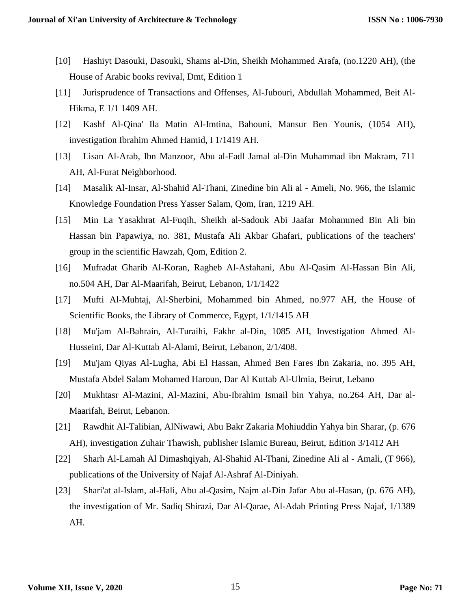- [10] Hashiyt Dasouki, Dasouki, Shams al-Din, Sheikh Mohammed Arafa, (no.1220 AH), (the House of Arabic books revival, Dmt, Edition 1
- [11] Jurisprudence of Transactions and Offenses, Al-Jubouri, Abdullah Mohammed, Beit Al-Hikma, E 1/1 1409 AH.
- [12] Kashf Al-Qina' Ila Matin Al-Imtina, Bahouni, Mansur Ben Younis, (1054 AH), investigation Ibrahim Ahmed Hamid, I 1/1419 AH.
- [13] Lisan Al-Arab, Ibn Manzoor, Abu al-Fadl Jamal al-Din Muhammad ibn Makram, 711 AH, Al-Furat Neighborhood.
- [14] Masalik Al-Insar, Al-Shahid Al-Thani, Zinedine bin Ali al Ameli, No. 966, the Islamic Knowledge Foundation Press Yasser Salam, Qom, Iran, 1219 AH.
- [15] Min La Yasakhrat Al-Fuqih, Sheikh al-Sadouk Abi Jaafar Mohammed Bin Ali bin Hassan bin Papawiya, no. 381, Mustafa Ali Akbar Ghafari, publications of the teachers' group in the scientific Hawzah, Qom, Edition 2.
- [16] Mufradat Gharib Al-Koran, Ragheb Al-Asfahani, Abu Al-Qasim Al-Hassan Bin Ali, no.504 AH, Dar Al-Maarifah, Beirut, Lebanon, 1/1/1422
- [17] Mufti Al-Muhtaj, Al-Sherbini, Mohammed bin Ahmed, no.977 AH, the House of Scientific Books, the Library of Commerce, Egypt, 1/1/1415 AH
- [18] Mu'jam Al-Bahrain, Al-Turaihi, Fakhr al-Din, 1085 AH, Investigation Ahmed Al-Husseini, Dar Al-Kuttab Al-Alami, Beirut, Lebanon, 2/1/408.
- [19] Mu'jam Qiyas Al-Lugha, Abi El Hassan, Ahmed Ben Fares Ibn Zakaria, no. 395 AH, Mustafa Abdel Salam Mohamed Haroun, Dar Al Kuttab Al-Ulmia, Beirut, Lebano
- [20] Mukhtasr Al-Mazini, Al-Mazini, Abu-Ibrahim Ismail bin Yahya, no.264 AH, Dar al-Maarifah, Beirut, Lebanon.
- [21] Rawdhit Al-Talibian, AlNiwawi, Abu Bakr Zakaria Mohiuddin Yahya bin Sharar, (p. 676 AH), investigation Zuhair Thawish, publisher Islamic Bureau, Beirut, Edition 3/1412 AH
- [22] Sharh Al-Lamah Al Dimashqiyah, Al-Shahid Al-Thani, Zinedine Ali al Amali, (T 966), publications of the University of Najaf Al-Ashraf Al-Diniyah.
- [23] Shari'at al-Islam, al-Hali, Abu al-Qasim, Najm al-Din Jafar Abu al-Hasan, (p. 676 AH), the investigation of Mr. Sadiq Shirazi, Dar Al-Qarae, Al-Adab Printing Press Najaf, 1/1389 AH.